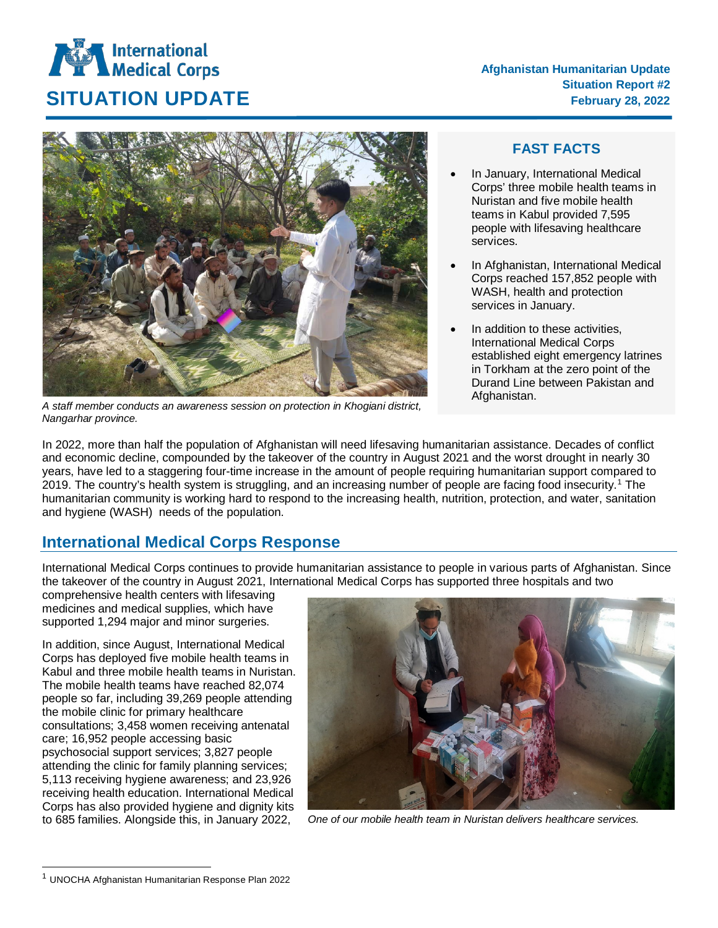

*A staff member conducts an awareness session on protection in Khogiani district, Nangarhar province.* 

# **FAST FACTS**

- In January, International Medical Corps' three mobile health teams in Nuristan and five mobile health teams in Kabul provided 7,595 people with lifesaving healthcare services.
- In Afghanistan, International Medical Corps reached 157,852 people with WASH, health and protection services in January.
- In addition to these activities. International Medical Corps established eight emergency latrines in Torkham at the zero point of the Durand Line between Pakistan and Afghanistan.

In 2022, more than half the population of Afghanistan will need lifesaving humanitarian assistance. Decades of conflict and economic decline, compounded by the takeover of the country in August 2021 and the worst drought in nearly 30 years, have led to a staggering four-time increase in the amount of people requiring humanitarian support compared to 2019. The country's health system is struggling, and an increasing number of people are facing food insecurity. [1](#page-0-0) The humanitarian community is working hard to respond to the increasing health, nutrition, protection, and water, sanitation and hygiene (WASH) needs of the population.

# **International Medical Corps Response**

International Medical Corps continues to provide humanitarian assistance to people in various parts of Afghanistan. Since the takeover of the country in August 2021, International Medical Corps has supported three hospitals and two

comprehensive health centers with lifesaving medicines and medical supplies, which have supported 1,294 major and minor surgeries.

In addition, since August, International Medical Corps has deployed five mobile health teams in Kabul and three mobile health teams in Nuristan. The mobile health teams have reached 82,074 people so far, including 39,269 people attending the mobile clinic for primary healthcare consultations; 3,458 women receiving antenatal care; 16,952 people accessing basic psychosocial support services; 3,827 people attending the clinic for family planning services; 5,113 receiving hygiene awareness; and 23,926 receiving health education. International Medical Corps has also provided hygiene and dignity kits to 685 families. Alongside this, in January 2022,



*One of our mobile health team in Nuristan delivers healthcare services.*

<span id="page-0-0"></span> <sup>1</sup> UNOCHA Afghanistan Humanitarian Response Plan 2022